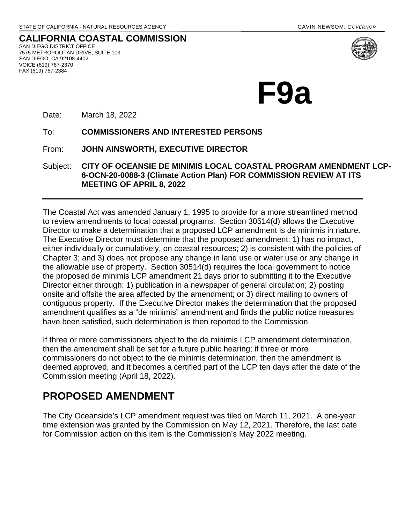**CALIFORNIA COASTAL COMMISSION** SAN DIEGO DISTRICT OFFICE 7575 METROPOLITAN DRIVE, SUITE 103 SAN DIEGO, CA 92108-4402 VOICE (619) 767-2370 FAX (619) 767-2384



**F9a** 

Date: March 18, 2022

To: **COMMISSIONERS AND INTERESTED PERSONS** 

From: **JOHN AINSWORTH, EXECUTIVE DIRECTOR**

Subject: **CITY OF OCEANSIE DE MINIMIS LOCAL COASTAL PROGRAM AMENDMENT LCP-6-OCN-20-0088-3 (Climate Action Plan) FOR COMMISSION REVIEW AT ITS MEETING OF APRIL 8, 2022**

The Coastal Act was amended January 1, 1995 to provide for a more streamlined method to review amendments to local coastal programs. Section 30514(d) allows the Executive Director to make a determination that a proposed LCP amendment is de minimis in nature. The Executive Director must determine that the proposed amendment: 1) has no impact, either individually or cumulatively, on coastal resources; 2) is consistent with the policies of Chapter 3; and 3) does not propose any change in land use or water use or any change in the allowable use of property. Section 30514(d) requires the local government to notice the proposed de minimis LCP amendment 21 days prior to submitting it to the Executive Director either through: 1) publication in a newspaper of general circulation; 2) posting onsite and offsite the area affected by the amendment; or 3) direct mailing to owners of contiguous property. If the Executive Director makes the determination that the proposed amendment qualifies as a "de minimis" amendment and finds the public notice measures have been satisfied, such determination is then reported to the Commission.

If three or more commissioners object to the de minimis LCP amendment determination, then the amendment shall be set for a future public hearing; if three or more commissioners do not object to the de minimis determination, then the amendment is deemed approved, and it becomes a certified part of the LCP ten days after the date of the Commission meeting (April 18, 2022).

## **PROPOSED AMENDMENT**

The City Oceanside's LCP amendment request was filed on March 11, 2021. A one-year time extension was granted by the Commission on May 12, 2021. Therefore, the last date for Commission action on this item is the Commission's May 2022 meeting.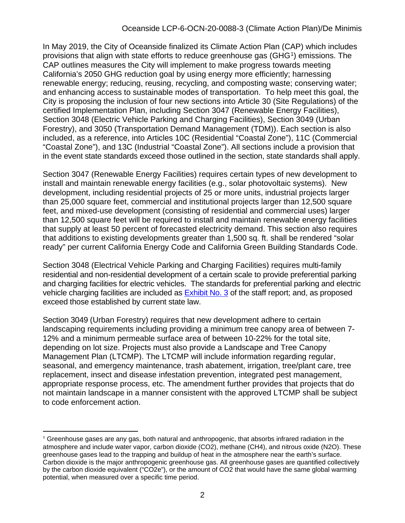In May 2019, the City of Oceanside finalized its Climate Action Plan (CAP) which includes provisions that align with state efforts to reduce greenhouse gas (GHG<sup>[1](#page-1-0)</sup>) emissions. The CAP outlines measures the City will implement to make progress towards meeting California's 2050 GHG reduction goal by using energy more efficiently; harnessing renewable energy; reducing, reusing, recycling, and composting waste; conserving water; and enhancing access to sustainable modes of transportation. To help meet this goal, the City is proposing the inclusion of four new sections into Article 30 (Site Regulations) of the certified Implementation Plan, including Section 3047 (Renewable Energy Facilities), Section 3048 (Electric Vehicle Parking and Charging Facilities), Section 3049 (Urban Forestry), and 3050 (Transportation Demand Management (TDM)). Each section is also included, as a reference, into Articles 10C (Residential "Coastal Zone"), 11C (Commercial "Coastal Zone"), and 13C (Industrial "Coastal Zone"). All sections include a provision that in the event state standards exceed those outlined in the section, state standards shall apply.

Section 3047 (Renewable Energy Facilities) requires certain types of new development to install and maintain renewable energy facilities (e.g., solar photovoltaic systems). New development, including residential projects of 25 or more units, industrial projects larger than 25,000 square feet, commercial and institutional projects larger than 12,500 square feet, and mixed-use development (consisting of residential and commercial uses) larger than 12,500 square feet will be required to install and maintain renewable energy facilities that supply at least 50 percent of forecasted electricity demand. This section also requires that additions to existing developments greater than 1,500 sq. ft. shall be rendered "solar ready" per current California Energy Code and California Green Building Standards Code.

Section 3048 (Electrical Vehicle Parking and Charging Facilities) requires multi-family residential and non-residential development of a certain scale to provide preferential parking and charging facilities for electric vehicles. The standards for preferential parking and electric vehicle charging facilities are included as [Exhibit No. 3](https://documents.coastal.ca.gov/reports/2022/4/F9a/F9a-4-2022-exhibits.pdf) of the staff report; and, as proposed exceed those established by current state law.

Section 3049 (Urban Forestry) requires that new development adhere to certain landscaping requirements including providing a minimum tree canopy area of between 7- 12% and a minimum permeable surface area of between 10-22% for the total site, depending on lot size. Projects must also provide a Landscape and Tree Canopy Management Plan (LTCMP). The LTCMP will include information regarding regular, seasonal, and emergency maintenance, trash abatement, irrigation, tree/plant care, tree replacement, insect and disease infestation prevention, integrated pest management, appropriate response process, etc. The amendment further provides that projects that do not maintain landscape in a manner consistent with the approved LTCMP shall be subject to code enforcement action.

<span id="page-1-0"></span><sup>1</sup> Greenhouse gases are any gas, both natural and anthropogenic, that absorbs infrared radiation in the atmosphere and include water vapor, carbon dioxide (CO2), methane (CH4), and nitrous oxide (N2O). These greenhouse gases lead to the trapping and buildup of heat in the atmosphere near the earth's surface. Carbon dioxide is the major anthropogenic greenhouse gas. All greenhouse gases are quantified collectively by the carbon dioxide equivalent ("CO2e"), or the amount of CO2 that would have the same global warming potential, when measured over a specific time period.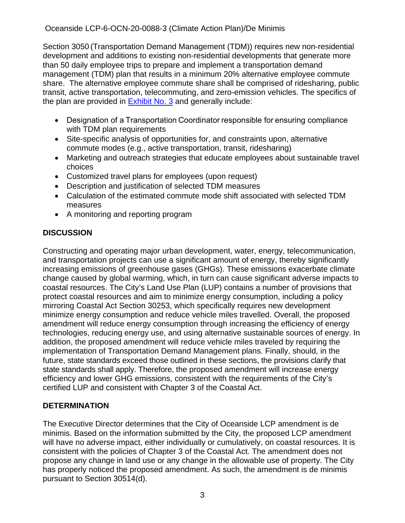Oceanside LCP-6-OCN-20-0088-3 (Climate Action Plan)/De Minimis

Section 3050 (Transportation Demand Management (TDM)) requires new non-residential development and additions to existing non-residential developments that generate more than 50 daily employee trips to prepare and implement a transportation demand management (TDM) plan that results in a minimum 20% alternative employee commute share. The alternative employee commute share shall be comprised of ridesharing, public transit, active transportation, telecommuting, and zero-emission vehicles. The specifics of the plan are provided in [Exhibit No. 3](https://documents.coastal.ca.gov/reports/2022/4/F9a/F9a-4-2022-exhibits.pdf) and generally include:

- Designation of a Transportation Coordinator responsible for ensuring compliance with TDM plan requirements
- Site-specific analysis of opportunities for, and constraints upon, alternative commute modes (e.g., active transportation, transit, ridesharing)
- Marketing and outreach strategies that educate employees about sustainable travel choices
- Customized travel plans for employees (upon request)
- Description and justification of selected TDM measures
- Calculation of the estimated commute mode shift associated with selected TDM measures
- A monitoring and reporting program

## **DISCUSSION**

Constructing and operating major urban development, water, energy, telecommunication, and transportation projects can use a significant amount of energy, thereby significantly increasing emissions of greenhouse gases (GHGs). These emissions exacerbate climate change caused by global warming, which, in turn can cause significant adverse impacts to coastal resources. The City's Land Use Plan (LUP) contains a number of provisions that protect coastal resources and aim to minimize energy consumption, including a policy mirroring Coastal Act Section 30253, which specifically requires new development minimize energy consumption and reduce vehicle miles travelled. Overall, the proposed amendment will reduce energy consumption through increasing the efficiency of energy technologies, reducing energy use, and using alternative sustainable sources of energy. In addition, the proposed amendment will reduce vehicle miles traveled by requiring the implementation of Transportation Demand Management plans. Finally, should, in the future, state standards exceed those outlined in these sections, the provisions clarify that state standards shall apply. Therefore, the proposed amendment will increase energy efficiency and lower GHG emissions, consistent with the requirements of the City's certified LUP and consistent with Chapter 3 of the Coastal Act.

## **DETERMINATION**

The Executive Director determines that the City of Oceanside LCP amendment is de minimis. Based on the information submitted by the City, the proposed LCP amendment will have no adverse impact, either individually or cumulatively, on coastal resources. It is consistent with the policies of Chapter 3 of the Coastal Act. The amendment does not propose any change in land use or any change in the allowable use of property. The City has properly noticed the proposed amendment. As such, the amendment is de minimis pursuant to Section 30514(d).